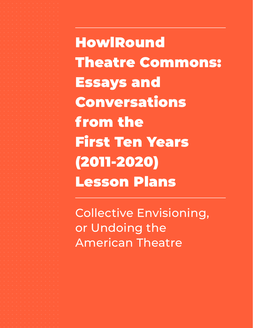**HowlRound** Theatre Commons: Essays and Conversations from the First Ten Years (2011-2020) Lesson Plans

Collective Envisioning, or Undoing the American Theatre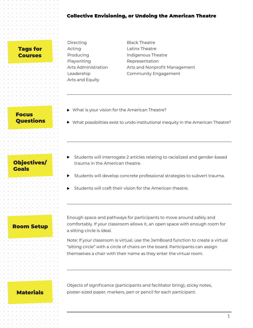### Collective Envisioning, or Undoing the American Theatre

Tags for Courses

Directing Acting Producing Playwriting Arts Administration Leadership Arts and Equity

Black Theatre Latinx Theatre Indigenous Theatre Representation Arts and Nonprofit Management Community Engagement

- ▶ What is your vision for the American Theatre?
- What possibilities exist to undo institutional inequity in the American Theatre?

Objectives/ Goals

**Focus** 

**Questions** 

- Students will interrogate 2 articles relating to racialized and gender-based trauma in the American theatre.
- Students will develop concrete professional strategies to subvert trauma.
- Students will craft their vision for the American theatre.

### Room Setup

Enough space and pathways for participants to move around safely and comfortably. If your classroom allows it, an open space with enough room for a sitting circle is ideal.

Note: If your classroom is virtual, use the JamBoard function to create a virtual "sitting circle" with a circle of chairs on the board. Participants can assign themselves a chair with their name as they enter the virtual room.

Objects of significance (participants and facilitator bring), sticky notes, **Materials poster-sized paper, markers, pen or pencil for each participant.** 

1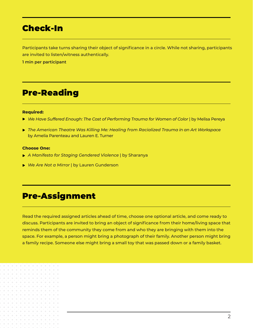# Check-In

Participants take turns sharing their object of significance in a circle. While not sharing, participants are invited to listen/witness authentically.

**1 min per participant**

# Pre-Reading

#### **Required:**

- *We Have Suffered Enough: The Cost of Performing Trauma for Women of Color* | by Melisa Pereya
- *The American Theatre Was Killing Me: Healing from Racialized Trauma in an Art Workspace*  by Amelia Parenteau and Lauren E. Turner

#### **Choose One:**

- *A Manifesto for Staging Gendered Violence* | by Sharanya
- *We Are Not a Mirror* | by Lauren Gunderson

# Pre-Assignment

Read the required assigned articles ahead of time, choose one optional article, and come ready to discuss. Participants are invited to bring an object of significance from their home/living space that reminds them of the community they come from and who they are bringing with them into the space. For example, a person might bring a photograph of their family. Another person might bring a family recipe. Someone else might bring a small toy that was passed down or a family basket.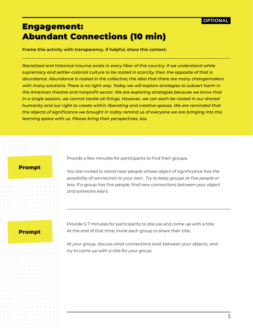# Engagement: Abundant Connections (10 min)

**Frame this activity with transparency. If helpful, share this context:** 

*Racialized and historical trauma exists in every fiber of this country. If we understand white supremacy and settler-colonial culture to be rooted in scarcity, then the opposite of that is abundance. Abundance is rooted in the collective; the idea that there are many changemakers with many solutions. There is no right way. Today we will explore strategies to subvert harm in the American theatre and nonprofit sector. We are exploring strategies because we know that in a single session, we cannot tackle all things. However, we can each be rooted in our shared humanity and our right to create within liberating and creative spaces. We are reminded that the objects of significance we brought in today remind us of everyone we are bringing into the learning space with us. Please bring their perspectives, too.* 

### Prompt

Provide a few minutes for participants to find their groups.

*You are invited to stand near people whose object of significance has the possibility of connection to your own. Try to keep groups at five people or*  less. If a group has five people, find new connections between your object *and someone else's.* 

### Prompt

Provide 5-7 minutes for participants to discuss and come up with a title. At the end of that time, invite each group to share their title.

*At your group, discuss what connections exist between your objects, and try to come up with a title for your group.*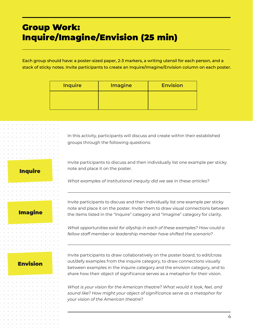# Group Work: Inquire/Imagine/Envision (25 min)

Each group should have: a poster-sized paper, 2-3 markers, a writing utensil for each person, and a stack of sticky notes. Invite participants to create an Inquire/Imagine/Envision column on each poster.

| <b>Inquire</b> | <b>Imagine</b> | <b>Envision</b> |
|----------------|----------------|-----------------|
|                |                |                 |
|                |                |                 |

In this activity, participants will discuss and create within their established groups through the following questions:

**Inquire** 

Invite participants to discuss and then individually list one example per sticky note and place it on the poster.

*What examples of institutional inequity did we see in these articles?*

Imagine

Invite participants to discuss and then individually list one example per sticky note and place it on the poster. Invite them to draw visual connections between the items listed in the "Inquire" category and "Imagine" category for clarity.

*What opportunities exist for allyship in each of these examples? How could a fellow staff member or leadership member have shifted the scenario?*

### Envision

Invite participants to draw collaboratively on the poster board, to edit/cross out/defy examples from the inquire category, to draw connections visually between examples in the inquire category and the envision category, and to share how their object of significance serves as a metaphor for their vision.

*What is your vision for the American theatre? What would it look, feel, and sound like? How might your object of significance serve as a metaphor for your vision of the American theatre?*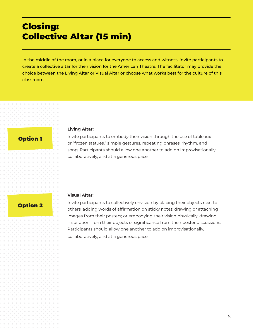# Closing: Collective Altar (15 min)

In the middle of the room, or in a place for everyone to access and witness, invite participants to create a collective altar for their vision for the American Theatre. The facilitator may provide the choice between the Living Altar or Visual Altar or choose what works best for the culture of this classroom.

## Option 1

#### **Living Altar:**

Invite participants to embody their vision through the use of tableaux or "frozen statues," simple gestures, repeating phrases, rhythm, and song. Participants should allow one another to add on improvisationally, collaboratively, and at a generous pace.

### Option 2

#### **Visual Altar:**

Invite participants to collectively envision by placing their objects next to others; adding words of affirmation on sticky notes; drawing or attaching images from their posters; or embodying their vision physically, drawing inspiration from their objects of significance from their poster discussions. Participants should allow one another to add on improvisationally, collaboratively, and at a generous pace.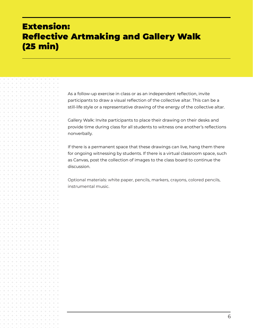# Extension: Reflective Artmaking and Gallery Walk (25 min)

As a follow-up exercise in class or as an independent reflection, invite participants to draw a visual reflection of the collective altar. This can be a still-life style or a representative drawing of the energy of the collective altar.

Gallery Walk: Invite participants to place their drawing on their desks and provide time during class for all students to witness one another's reflections nonverbally.

If there is a permanent space that these drawings can live, hang them there for ongoing witnessing by students. If there is a virtual classroom space, such as Canvas, post the collection of images to the class board to continue the discussion.

Optional materials: white paper, pencils, markers, crayons, colored pencils, instrumental music.